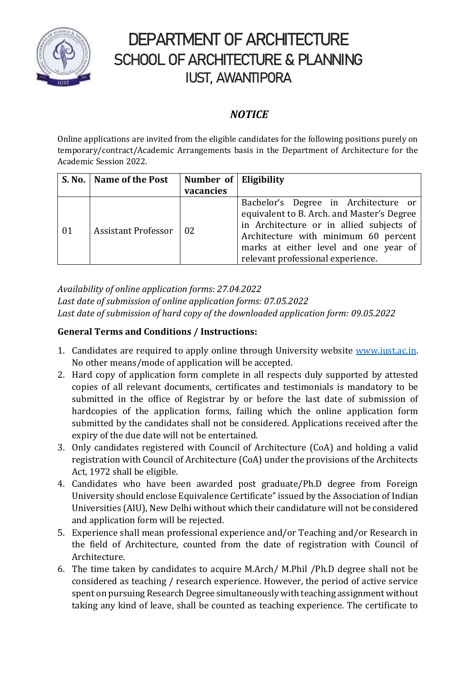

## DEPARTMENT OF ARCHITECTURE SCHOOL OF ARCHITECTURE & PLANNING IUST, AWANTIPORA

## *NOTICE*

Online applications are invited from the eligible candidates for the following positions purely on temporary/contract/Academic Arrangements basis in the Department of Architecture for the Academic Session 2022.

|    | S. No.   Name of the Post | Number of Eligibility |                                                                                                                                                                                                                                                      |
|----|---------------------------|-----------------------|------------------------------------------------------------------------------------------------------------------------------------------------------------------------------------------------------------------------------------------------------|
|    |                           | vacancies             |                                                                                                                                                                                                                                                      |
| 01 | Assistant Professor   02  |                       | Bachelor's Degree in Architecture or<br>equivalent to B. Arch. and Master's Degree<br>in Architecture or in allied subjects of<br>Architecture with minimum 60 percent<br>marks at either level and one year of<br>relevant professional experience. |

*Availability of online application forms: 27.04.2022 Last date of submission of online application forms: 07.05.2022 Last date of submission of hard copy of the downloaded application form: 09.05.2022*

## **General Terms and Conditions / Instructions:**

- 1. Candidates are required to apply online through University website [www.iust.ac.in.](http://www.iust.ac.in/) No other means/mode of application will be accepted.
- 2. Hard copy of application form complete in all respects duly supported by attested copies of all relevant documents, certificates and testimonials is mandatory to be submitted in the office of Registrar by or before the last date of submission of hardcopies of the application forms, failing which the online application form submitted by the candidates shall not be considered. Applications received after the expiry of the due date will not be entertained.
- 3. Only candidates registered with Council of Architecture (CoA) and holding a valid registration with Council of Architecture (CoA) under the provisions of the Architects Act, 1972 shall be eligible.
- 4. Candidates who have been awarded post graduate/Ph.D degree from Foreign University should enclose Equivalence Certificate" issued by the Association of Indian Universities (AIU), New Delhi without which their candidature will not be considered and application form will be rejected.
- 5. Experience shall mean professional experience and/or Teaching and/or Research in the field of Architecture, counted from the date of registration with Council of Architecture.
- 6. The time taken by candidates to acquire M.Arch/ M.Phil /Ph.D degree shall not be considered as teaching / research experience. However, the period of active service spent on pursuing Research Degree simultaneously with teaching assignment without taking any kind of leave, shall be counted as teaching experience. The certificate to